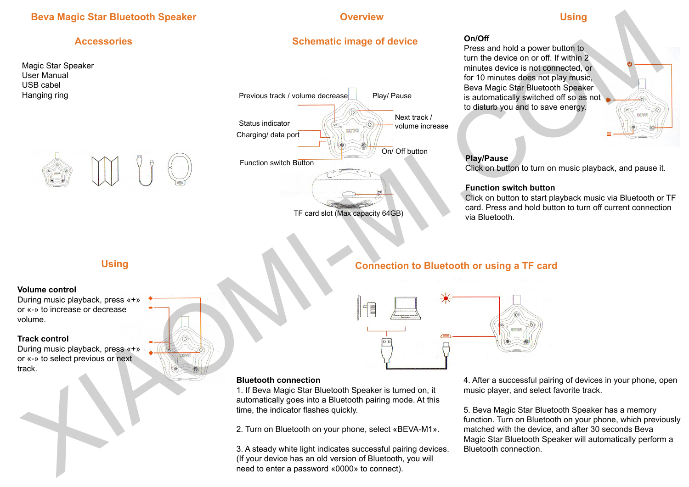# **Beva Magic Star Bluetooth Speaker Construction of the Construction Coverview Construction of the Using**

## **Accessories**

Magic Star Speaker User Manual USB cabel Hanging ring



# **Schematic image of device**



## **On/Off**

Press and hold a power button to turn the device on or off. If within 2 minutes device is not connected, or for 10 minutes does not play music, Beva Magic Star Bluetooth Speaker is automatically switched off so as not to disturb you and to save energy.



## **Play/Pause**

Click on button to turn on music playback, and pause it.

### **Function switch button**

Click on button to start playback music via Bluetooth or TF card. Press and hold button to turn off current connection via Bluetooth.

# **Using**

#### **Volume control**

During music playback, press «+» or «-» to increase or decrease volume.

#### **Track control**

During music playback, press «+» or «-» to select previous or next track.

# **Connection to Bluetooth or using a TF card**



### **Bluetooth connection**

1. If Beva Magic Star Bluetooth Speaker is turned on, it automatically goes into a Bluetooth pairing mode. At this time, the indicator flashes quickly.

2. Turn on Bluetooth on your phone, select «BEVA-M1».

3. A steady white light indicates successful pairing devices. (If your device has an old version of Bluetooth, you will need to enter a password «0000» to connect).

4. After a successful pairing of devices in your phone, open music player, and select favorite track.

5. Beva Magic Star Bluetooth Speaker has a memory function. Turn on Bluetooth on your phone, which previously matched with the device, and after 30 seconds Beva Magic Star Bluetooth Speaker will automatically perform a Bluetooth connection.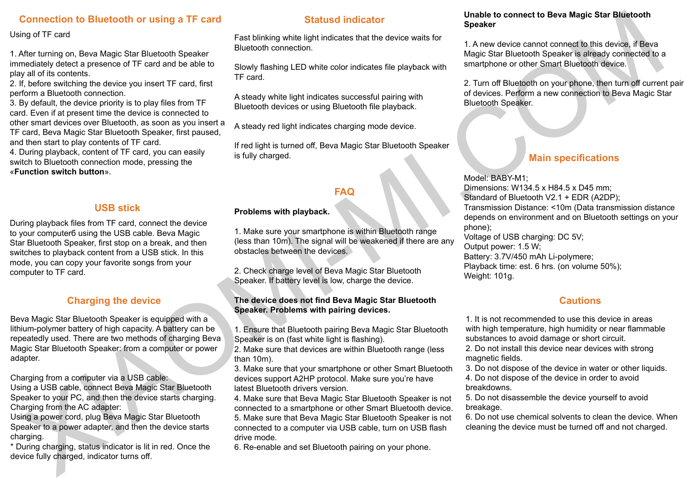# **Connection to Bluetooth or using a TF card**

#### Using of TF card

1. After turning on, Beva Magic Star Bluetooth Speaker immediately detect a presence of TF card and be able to play all of its contents.

2. If, before switching the device you insert TF card, first perform a Bluetooth connection.

3. By default, the device priority is to play files from TF card. Even if at present time the device is connected to other smart devices over Bluetooth, as soon as you insert a TF card, Beva Magic Star Bluetooth Speaker, first paused, and then start to play contents of TF card. 4. During playback, content of TF card, you can easily

switch to Bluetooth connection mode, pressing the «**Function switch button**».

## **USB stick**

During playback files from TF card, connect the device to your computerб using the USB cable. Beva Magic Star Bluetooth Speaker, first stop on a break, and then switches to playback content from a USB stick. In this mode, you can copy your favorite songs from your computer to TF card.

## **Charging the device**

Beva Magic Star Bluetooth Speaker is equipped with a lithium-polymer battery of high capacity. A battery can be repeatedly used. There are two methods of charging Beva Magic Star Bluetooth Speaker: from a computer or power adapter.

Charging from a computer via a USB cable:

Using a USB cable, connect Beva Magic Star Bluetooth Speaker to your PC, and then the device starts charging. Charging from the AC adapter:

Using a power cord, plug Beva Magic Star Bluetooth Speaker to a power adapter, and then the device starts charging.

\* During charging, status indicator is lit in red. Once the device fully charged, indicator turns off.

## **Statusd indicator**

Fast blinking white light indicates that the device waits for Bluetooth connection.

Slowly flashing LED white color indicates file playback with TF card.

A steady white light indicates successful pairing with Bluetooth devices or using Bluetooth file playback.

A steady red light indicates charging mode device.

If red light is turned off, Beva Magic Star Bluetooth Speaker is fully charged.

## **FAQ**

## **Problems with playback.**

1. Make sure your smartphone is within Bluetooth range (less than 10m). The signal will be weakened if there are any obstacles between the devices.

2. Check charge level of Beva Magic Star Bluetooth Speaker. If battery level is low, charge the device.

#### **The device does not find Beva Magic Star Bluetooth Speaker. Problems with pairing devices.**

1. Ensure that Bluetooth pairing Beva Magic Star Bluetooth Speaker is on (fast white light is flashing).

2. Make sure that devices are within Bluetooth range (less than 10m).

3. Make sure that your smartphone or other Smart Bluetooth devices support A2HP protocol. Make sure you're have latest Bluetooth drivers version.

4. Make sure that Beva Magic Star Bluetooth Speaker is not connected to a smartphone or other Smart Bluetooth device. 5. Make sure that Beva Magic Star Bluetooth Speaker is not connected to a computer via USB cable, turn on USB flash drive mode.

6. Re-enable and set Bluetooth pairing on your phone.

#### **Unable to connect to Beva Magic Star Bluetooth Speaker**

1. A new device cannot connect to this device, if Beva Magic Star Bluetooth Speaker is already connected to a smartphone or other Smart Bluetooth device.

2. Turn off Bluetooth on your phone, then turn off current pair of devices. Perform a new connection to Beva Magic Star Bluetooth Speaker.

# **Main specifications**

Model: BABY-M1; Dimensions: W134.5 x H84.5 x D45 mm; Standard of Bluetooth V2.1 + EDR (A2DP); Transmission Distance: <10m (Data transmission distance depends on environment and on Bluetooth settings on your phone); Voltage of USB charging: DC 5V; Output power: 1.5 W; Battery: 3.7V/450 mAh Li-polymere; Playback time: est. 6 hrs. (on volume 50%); Weight: 101g. Connection to Bluetochrome in the state of the state in the state in the state in the state of the state in the state in the state in the state in the state in the state in the state in the state in the state in the state

## **Cautions**

1. It is not recommended to use this device in areas with high temperature, high humidity or near flammable substances to avoid damage or short circuit.

2. Do not install this device near devices with strong magnetic fields.

3. Do not dispose of the device in water or other liquids.

4. Do not dispose of the device in order to avoid breakdowns.

5. Do not disassemble the device yourself to avoid breakage.

6. Do not use chemical solvents to clean the device. When cleaning the device must be turned off and not charged.